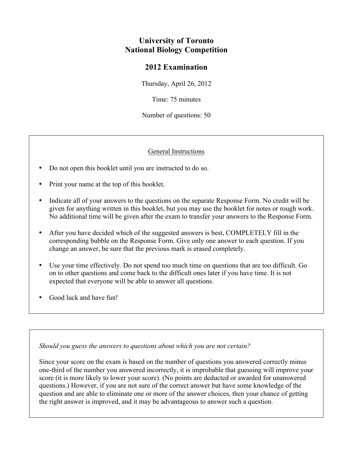## **University of Toronto National Biology Competition**

## **2012 Examination**

Thursday, April 26, 2012

Time: 75 minutes

Number of questions: 50

## General Instructions

- Do not open this booklet until you are instructed to do so.
- Print your name at the top of this booklet.
- Indicate all of your answers to the questions on the separate Response Form. No credit will be given for anything written in this booklet, but you may use the booklet for notes or rough work. No additional time will be given after the exam to transfer your answers to the Response Form.
- After you have decided which of the suggested answers is best, COMPLETELY fill in the corresponding bubble on the Response Form. Give only one answer to each question. If you change an answer, be sure that the previous mark is erased completely.
- Use your time effectively. Do not spend too much time on questions that are too difficult. Go on to other questions and come back to the difficult ones later if you have time. It is not expected that everyone will be able to answer all questions.
- Good luck and have fun!

*Should you guess the answers to questions about which you are not certain?*

Since your score on the exam is based on the number of questions you answered correctly minus one-third of the number you answered incorrectly, it is improbable that guessing will improve your score (it is more likely to lower your score). (No points are deducted or awarded for unanswered questions.) However, if you are not sure of the correct answer but have some knowledge of the question and are able to eliminate one or more of the answer choices, then your chance of getting the right answer is improved, and it may be advantageous to answer such a question.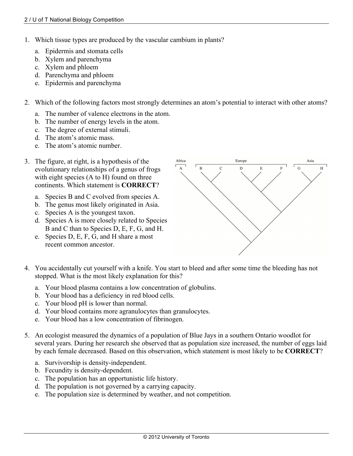- 1. Which tissue types are produced by the vascular cambium in plants?
	- a. Epidermis and stomata cells
	- b. Xylem and parenchyma
	- c. Xylem and phloem
	- d. Parenchyma and phloem
	- e. Epidermis and parenchyma
- 2. Which of the following factors most strongly determines an atom's potential to interact with other atoms?
	- a. The number of valence electrons in the atom.
	- b. The number of energy levels in the atom.
	- c. The degree of external stimuli.
	- d. The atom's atomic mass.
	- e. The atom's atomic number.
- 3. The figure, at right, is a hypothesis of the evolutionary relationships of a genus of frogs with eight species (A to H) found on three continents. Which statement is **CORRECT**?
	- a. Species B and C evolved from species A.
	- b. The genus most likely originated in Asia.
	- c. Species A is the youngest taxon.
	- d. Species A is more closely related to Species B and C than to Species D, E, F, G, and H.
	- e. Species D, E, F, G, and H share a most recent common ancestor.



- 4. You accidentally cut yourself with a knife. You start to bleed and after some time the bleeding has not stopped. What is the most likely explanation for this?
	- a. Your blood plasma contains a low concentration of globulins.
	- b. Your blood has a deficiency in red blood cells.
	- c. Your blood pH is lower than normal.
	- d. Your blood contains more agranulocytes than granulocytes.
	- e. Your blood has a low concentration of fibrinogen.
- 5. An ecologist measured the dynamics of a population of Blue Jays in a southern Ontario woodlot for several years. During her research she observed that as population size increased, the number of eggs laid by each female decreased. Based on this observation, which statement is most likely to be **CORRECT**?
	- a. Survivorship is density-independent.
	- b. Fecundity is density-dependent.
	- c. The population has an opportunistic life history.
	- d. The population is not governed by a carrying capacity.
	- e. The population size is determined by weather, and not competition.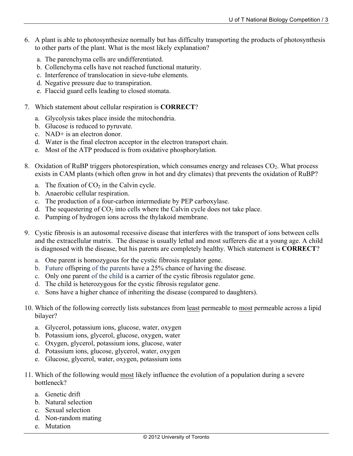- 6. A plant is able to photosynthesize normally but has difficulty transporting the products of photosynthesis to other parts of the plant. What is the most likely explanation?
	- a. The parenchyma cells are undifferentiated.
	- b. Collenchyma cells have not reached functional maturity.
	- c. Interference of translocation in sieve-tube elements.
	- d. Negative pressure due to transpiration.
	- e. Flaccid guard cells leading to closed stomata.
- 7. Which statement about cellular respiration is **CORRECT**?
	- a. Glycolysis takes place inside the mitochondria.
	- b. Glucose is reduced to pyruvate.
	- c. NAD+ is an electron donor.
	- d. Water is the final electron acceptor in the electron transport chain.
	- e. Most of the ATP produced is from oxidative phosphorylation.
- 8. Oxidation of RuBP triggers photorespiration, which consumes energy and releases  $CO<sub>2</sub>$ . What process exists in CAM plants (which often grow in hot and dry climates) that prevents the oxidation of RuBP?
	- a. The fixation of  $CO<sub>2</sub>$  in the Calvin cycle.
	- b. Anaerobic cellular respiration.
	- c. The production of a four-carbon intermediate by PEP carboxylase.
	- d. The sequestering of  $CO<sub>2</sub>$  into cells where the Calvin cycle does not take place.
	- e. Pumping of hydrogen ions across the thylakoid membrane.
- 9. Cystic fibrosis is an autosomal recessive disease that interferes with the transport of ions between cells and the extracellular matrix. The disease is usually lethal and most sufferers die at a young age. A child is diagnosed with the disease, but his parents are completely healthy. Which statement is **CORRECT**?
	- a. One parent is homozygous for the cystic fibrosis regulator gene.
	- b. Future offspring of the parents have a 25% chance of having the disease.
	- c. Only one parent of the child is a carrier of the cystic fibrosis regulator gene.
	- d. The child is heterozygous for the cystic fibrosis regulator gene.
	- e. Sons have a higher chance of inheriting the disease (compared to daughters).
- 10. Which of the following correctly lists substances from least permeable to most permeable across a lipid bilayer?
	- a. Glycerol, potassium ions, glucose, water, oxygen
	- b. Potassium ions, glycerol, glucose, oxygen, water
	- c. Oxygen, glycerol, potassium ions, glucose, water
	- d. Potassium ions, glucose, glycerol, water, oxygen
	- e. Glucose, glycerol, water, oxygen, potassium ions
- 11. Which of the following would most likely influence the evolution of a population during a severe bottleneck?
	- a. Genetic drift
	- b. Natural selection
	- c. Sexual selection
	- d. Non-random mating
	- e. Mutation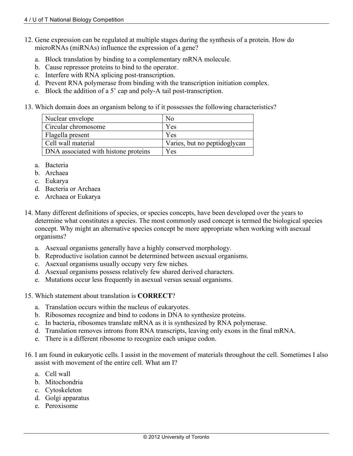- 12. Gene expression can be regulated at multiple stages during the synthesis of a protein. How do microRNAs (miRNAs) influence the expression of a gene?
	- a. Block translation by binding to a complementary mRNA molecule.
	- b. Cause repressor proteins to bind to the operator.
	- c. Interfere with RNA splicing post-transcription.
	- d. Prevent RNA polymerase from binding with the transcription initiation complex.
	- e. Block the addition of a 5' cap and poly-A tail post-transcription.
- 13. Which domain does an organism belong to if it possesses the following characteristics?

| Nuclear envelope                     | N <sub>0</sub>               |
|--------------------------------------|------------------------------|
| Circular chromosome                  | Yes                          |
| Flagella present                     | Yes                          |
| Cell wall material                   | Varies, but no peptidoglycan |
| DNA associated with histone proteins | Yes                          |

- a. Bacteria
- b. Archaea
- c. Eukarya
- d. Bacteria or Archaea
- e. Archaea or Eukarya
- 14. Many different definitions of species, or species concepts, have been developed over the years to determine what constitutes a species. The most commonly used concept is termed the biological species concept. Why might an alternative species concept be more appropriate when working with asexual organisms?
	- a. Asexual organisms generally have a highly conserved morphology.
	- b. Reproductive isolation cannot be determined between asexual organisms.
	- c. Asexual organisms usually occupy very few niches.
	- d. Asexual organisms possess relatively few shared derived characters.
	- e. Mutations occur less frequently in asexual versus sexual organisms.
- 15. Which statement about translation is **CORRECT**?
	- a. Translation occurs within the nucleus of eukaryotes.
	- b. Ribosomes recognize and bind to codons in DNA to synthesize proteins.
	- c. In bacteria, ribosomes translate mRNA as it is synthesized by RNA polymerase.
	- d. Translation removes introns from RNA transcripts, leaving only exons in the final mRNA.
	- e. There is a different ribosome to recognize each unique codon.
- 16. I am found in eukaryotic cells. I assist in the movement of materials throughout the cell. Sometimes I also assist with movement of the entire cell. What am I?
	- a. Cell wall
	- b. Mitochondria
	- c. Cytoskeleton
	- d. Golgi apparatus
	- e. Peroxisome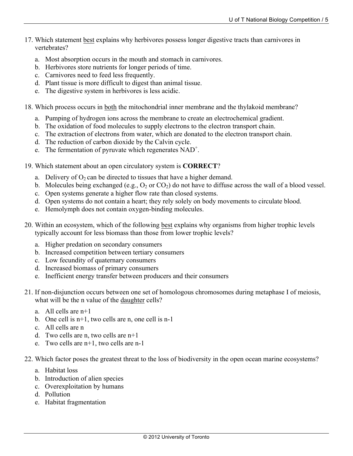- 17. Which statement best explains why herbivores possess longer digestive tracts than carnivores in vertebrates?
	- a. Most absorption occurs in the mouth and stomach in carnivores.
	- b. Herbivores store nutrients for longer periods of time.
	- c. Carnivores need to feed less frequently.
	- d. Plant tissue is more difficult to digest than animal tissue.
	- e. The digestive system in herbivores is less acidic.
- 18. Which process occurs in both the mitochondrial inner membrane and the thylakoid membrane?
	- a. Pumping of hydrogen ions across the membrane to create an electrochemical gradient.
	- b. The oxidation of food molecules to supply electrons to the electron transport chain.
	- c. The extraction of electrons from water, which are donated to the electron transport chain.
	- d. The reduction of carbon dioxide by the Calvin cycle.
	- e. The fermentation of pyruvate which regenerates NAD<sup>+</sup>.
- 19. Which statement about an open circulatory system is **CORRECT**?
	- a. Delivery of  $O_2$  can be directed to tissues that have a higher demand.
	- b. Molecules being exchanged (e.g.,  $O_2$  or  $CO_2$ ) do not have to diffuse across the wall of a blood vessel.
	- c. Open systems generate a higher flow rate than closed systems.
	- d. Open systems do not contain a heart; they rely solely on body movements to circulate blood.
	- e. Hemolymph does not contain oxygen-binding molecules.
- 20. Within an ecosystem, which of the following best explains why organisms from higher trophic levels typically account for less biomass than those from lower trophic levels?
	- a. Higher predation on secondary consumers
	- b. Increased competition between tertiary consumers
	- c. Low fecundity of quaternary consumers
	- d. Increased biomass of primary consumers
	- e. Inefficient energy transfer between producers and their consumers
- 21. If non-disjunction occurs between one set of homologous chromosomes during metaphase I of meiosis, what will be the n value of the daughter cells?
	- a. All cells are n+1
	- b. One cell is n+1, two cells are n, one cell is n-1
	- c. All cells are n
	- d. Two cells are n, two cells are n+1
	- e. Two cells are n+1, two cells are n-1
- 22. Which factor poses the greatest threat to the loss of biodiversity in the open ocean marine ecosystems?
	- a. Habitat loss
	- b. Introduction of alien species
	- c. Overexploitation by humans
	- d. Pollution
	- e. Habitat fragmentation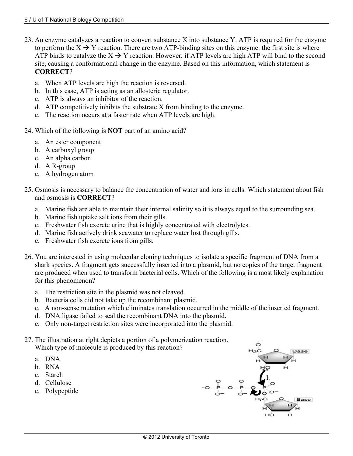- 23. An enzyme catalyzes a reaction to convert substance X into substance Y. ATP is required for the enzyme to perform the  $X \rightarrow Y$  reaction. There are two ATP-binding sites on this enzyme: the first site is where ATP binds to catalyze the  $X \rightarrow Y$  reaction. However, if ATP levels are high ATP will bind to the second site, causing a conformational change in the enzyme. Based on this information, which statement is **CORRECT**?
	- a. When ATP levels are high the reaction is reversed.
	- b. In this case, ATP is acting as an allosteric regulator.
	- c. ATP is always an inhibitor of the reaction.
	- d. ATP competitively inhibits the substrate X from binding to the enzyme.
	- e. The reaction occurs at a faster rate when ATP levels are high.
- 24. Which of the following is **NOT** part of an amino acid?
	- a. An ester component
	- b. A carboxyl group
	- c. An alpha carbon
	- d. A R-group
	- e. A hydrogen atom
- 25. Osmosis is necessary to balance the concentration of water and ions in cells. Which statement about fish and osmosis is **CORRECT**?
	- a. Marine fish are able to maintain their internal salinity so it is always equal to the surrounding sea.
	- b. Marine fish uptake salt ions from their gills.
	- c. Freshwater fish excrete urine that is highly concentrated with electrolytes.
	- d. Marine fish actively drink seawater to replace water lost through gills.
	- e. Freshwater fish excrete ions from gills.
- 26. You are interested in using molecular cloning techniques to isolate a specific fragment of DNA from a shark species. A fragment gets successfully inserted into a plasmid, but no copies of the target fragment are produced when used to transform bacterial cells. Which of the following is a most likely explanation for this phenomenon?
	- a. The restriction site in the plasmid was not cleaved.
	- b. Bacteria cells did not take up the recombinant plasmid.
	- c. A non-sense mutation which eliminates translation occurred in the middle of the inserted fragment.
	- d. DNA ligase failed to seal the recombinant DNA into the plasmid.
	- e. Only non-target restriction sites were incorporated into the plasmid.
- 27. The illustration at right depicts a portion of a polymerization reaction. Which type of molecule is produced by this reaction?
	- a. DNA
	- b. RNA
	- c. Starch
	- d. Cellulose
	- e. Polypeptide

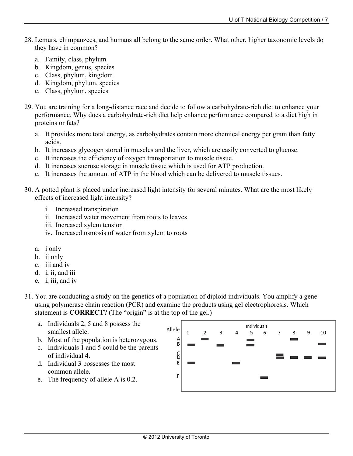- 28. Lemurs, chimpanzees, and humans all belong to the same order. What other, higher taxonomic levels do they have in common?
	- a. Family, class, phylum
	- b. Kingdom, genus, species
	- c. Class, phylum, kingdom
	- d. Kingdom, phylum, species
	- e. Class, phylum, species
- 29. You are training for a long-distance race and decide to follow a carbohydrate-rich diet to enhance your performance. Why does a carbohydrate-rich diet help enhance performance compared to a diet high in proteins or fats?
	- a. It provides more total energy, as carbohydrates contain more chemical energy per gram than fatty acids.
	- b. It increases glycogen stored in muscles and the liver, which are easily converted to glucose.
	- c. It increases the efficiency of oxygen transportation to muscle tissue.
	- d. It increases sucrose storage in muscle tissue which is used for ATP production.
	- e. It increases the amount of ATP in the blood which can be delivered to muscle tissues.
- 30. A potted plant is placed under increased light intensity for several minutes. What are the most likely effects of increased light intensity?
	- i. Increased transpiration
	- ii. Increased water movement from roots to leaves
	- iii. Increased xylem tension
	- iv. Increased osmosis of water from xylem to roots
	- a. i only
	- b. ii only
	- c. iii and iv
	- d. i, ii, and iii
	- e. i, iii, and iv
- 31. You are conducting a study on the genetics of a population of diploid individuals. You amplify a gene using polymerase chain reaction (PCR) and examine the products using gel electrophoresis. Which statement is **CORRECT**? (The "origin" is at the top of the gel.)
	- a. Individuals 2, 5 and 8 possess the smallest allele.
	- b. Most of the population is heterozygous.
	- c. Individuals 1 and 5 could be the parents of individual 4.
	- d. Individual 3 possesses the most common allele.
	- e. The frequency of allele A is 0.2.

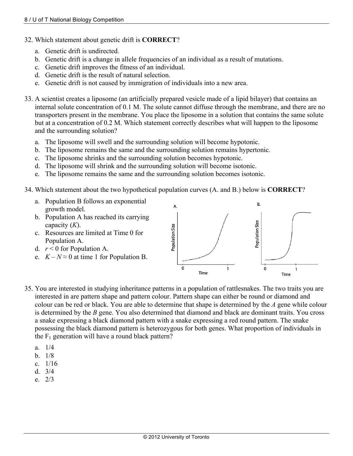- 32. Which statement about genetic drift is **CORRECT**?
	- a. Genetic drift is undirected.
	- b. Genetic drift is a change in allele frequencies of an individual as a result of mutations.
	- c. Genetic drift improves the fitness of an individual.
	- d. Genetic drift is the result of natural selection.
	- e. Genetic drift is not caused by immigration of individuals into a new area.
- 33. A scientist creates a liposome (an artificially prepared vesicle made of a lipid bilayer) that contains an internal solute concentration of 0.1 M. The solute cannot diffuse through the membrane, and there are no transporters present in the membrane. You place the liposome in a solution that contains the same solute but at a concentration of 0.2 M. Which statement correctly describes what will happen to the liposome and the surrounding solution?
	- a. The liposome will swell and the surrounding solution will become hypotonic.
	- b. The liposome remains the same and the surrounding solution remains hypertonic.
	- c. The liposome shrinks and the surrounding solution becomes hypotonic.
	- d. The liposome will shrink and the surrounding solution will become isotonic.
	- e. The liposome remains the same and the surrounding solution becomes isotonic.
- 34. Which statement about the two hypothetical population curves (A. and B.) below is **CORRECT**?
	- a. Population B follows an exponential growth model.
	- b. Population A has reached its carrying capacity (*K*).
	- c. Resources are limited at Time 0 for Population A.
	- d.  $r < 0$  for Population A.
	- e.  $K N \approx 0$  at time 1 for Population B.



- 35. You are interested in studying inheritance patterns in a population of rattlesnakes. The two traits you are interested in are pattern shape and pattern colour. Pattern shape can either be round or diamond and colour can be red or black. You are able to determine that shape is determined by the *A* gene while colour is determined by the *B* gene. You also determined that diamond and black are dominant traits. You cross a snake expressing a black diamond pattern with a snake expressing a red round pattern. The snake possessing the black diamond pattern is heterozygous for both genes. What proportion of individuals in the  $F_1$  generation will have a round black pattern?
	- a.  $1/4$
	- b. 1/8
	- c.  $1/16$
	- d. 3/4
	- e. 2/3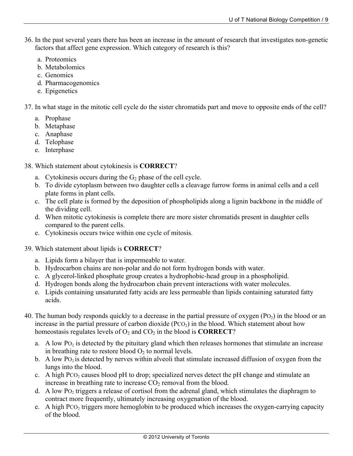- 36. In the past several years there has been an increase in the amount of research that investigates non-genetic factors that affect gene expression. Which category of research is this?
	- a. Proteomics
	- b. Metabolomics
	- c. Genomics
	- d. Pharmacogenomics
	- e. Epigenetics
- 37. In what stage in the mitotic cell cycle do the sister chromatids part and move to opposite ends of the cell?
	- a. Prophase
	- b. Metaphase
	- c. Anaphase
	- d. Telophase
	- e. Interphase
- 38. Which statement about cytokinesis is **CORRECT**?
	- a. Cytokinesis occurs during the  $G_2$  phase of the cell cycle.
	- b. To divide cytoplasm between two daughter cells a cleavage furrow forms in animal cells and a cell plate forms in plant cells.
	- c. The cell plate is formed by the deposition of phospholipids along a lignin backbone in the middle of the dividing cell.
	- d. When mitotic cytokinesis is complete there are more sister chromatids present in daughter cells compared to the parent cells.
	- e. Cytokinesis occurs twice within one cycle of mitosis.
- 39. Which statement about lipids is **CORRECT**?
	- a. Lipids form a bilayer that is impermeable to water.
	- b. Hydrocarbon chains are non-polar and do not form hydrogen bonds with water.
	- c. A glycerol-linked phosphate group creates a hydrophobic-head group in a phospholipid.
	- d. Hydrogen bonds along the hydrocarbon chain prevent interactions with water molecules.
	- e. Lipids containing unsaturated fatty acids are less permeable than lipids containing saturated fatty acids.
- 40. The human body responds quickly to a decrease in the partial pressure of oxygen  $(Po<sub>2</sub>)$  in the blood or an increase in the partial pressure of carbon dioxide  $(PCO<sub>2</sub>)$  in the blood. Which statement about how homeostasis regulates levels of  $O_2$  and  $CO_2$  in the blood is **CORRECT**?
	- a. A low  $PO<sub>2</sub>$  is detected by the pituitary gland which then releases hormones that stimulate an increase in breathing rate to restore blood  $O_2$  to normal levels.
	- b. A low  $PQ_2$  is detected by nerves within alveoli that stimulate increased diffusion of oxygen from the lungs into the blood.
	- c. A high PCO<sub>2</sub> causes blood pH to drop; specialized nerves detect the pH change and stimulate an increase in breathing rate to increase  $CO<sub>2</sub>$  removal from the blood.
	- d. A low PO<sub>2</sub> triggers a release of cortisol from the adrenal gland, which stimulates the diaphragm to contract more frequently, ultimately increasing oxygenation of the blood.
	- e. A high PCO<sub>2</sub> triggers more hemoglobin to be produced which increases the oxygen-carrying capacity of the blood.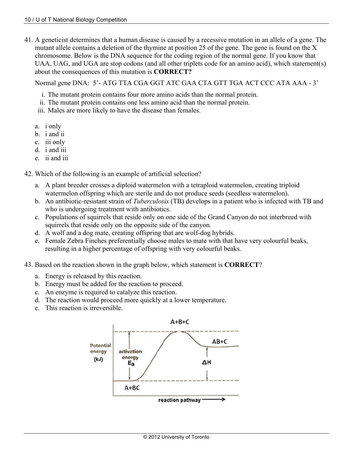41. A geneticist determines that a human disease is caused by a recessive mutation in an allele of a gene. The mutant allele contains a deletion of the thymine at position 25 of the gene. The gene is found on the X chromosome. Below is the DNA sequence for the coding region of the normal gene. If you know that UAA, UAG, and UGA are stop codons (and all other triplets code for an amino acid), which statement(s) about the consequences of this mutation is **CORRECT?**

Normal gene DNA: 5'- ATG TTA CGA GGT ATC GAA CTA GTT TGA ACT CCC ATA AAA - 3'

- i. The mutant protein contains four more amino acids than the normal protein.
- ii. The mutant protein contains one less amino acid than the normal protein.
- iii. Males are more likely to have the disease than females.
- a. i only
- b. i and ii
- c. iii only
- d. i and iii
- e. ii and iii

42. Which of the following is an example of artificial selection?

- a. A plant breeder crosses a diploid watermelon with a tetraploid watermelon, creating triploid watermelon offspring which are sterile and do not produce seeds (seedless watermelon).
- b. An antibiotic-resistant strain of *Tuberculosis* (TB) develops in a patient who is infected with TB and who is undergoing treatment with antibiotics.
- c. Populations of squirrels that reside only on one side of the Grand Canyon do not interbreed with squirrels that reside only on the opposite side of the canyon.
- d. A wolf and a dog mate, creating offspring that are wolf-dog hybrids.
- e. Female Zebra Finches preferentially choose males to mate with that have very colourful beaks, resulting in a higher percentage of offspring with very colourful beaks.
- 43. Based on the reaction shown in the graph below, which statement is **CORRECT**?
	- a. Energy is released by this reaction.
	- b. Energy must be added for the reaction to proceed.
	- c. An enzyme is required to catalyze this reaction.
	- d. The reaction would proceed more quickly at a lower temperature.
	- e. This reaction is irreversible.

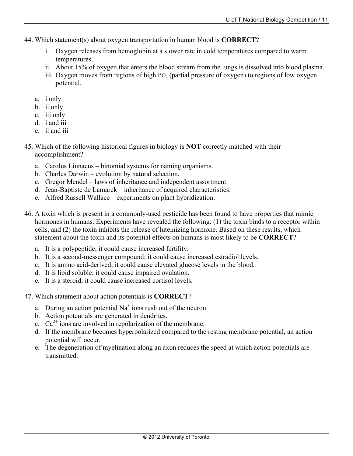- 44. Which statement(s) about oxygen transportation in human blood is **CORRECT**?
	- i. Oxygen releases from hemoglobin at a slower rate in cold temperatures compared to warm temperatures.
	- ii. About 15% of oxygen that enters the blood stream from the lungs is dissolved into blood plasma.
	- iii. Oxygen moves from regions of high  $PO<sub>2</sub>$  (partial pressure of oxygen) to regions of low oxygen potential.
	- a. i only
	- b. ii only
	- c. iii only
	- d. i and iii
	- e. ii and iii
- 45. Which of the following historical figures in biology is **NOT** correctly matched with their accomplishment?
	- a. Carolus Linnaeus binomial systems for naming organisms.
	- b. Charles Darwin evolution by natural selection.
	- c. Gregor Mendel laws of inheritance and independent assortment.
	- d. Jean-Baptiste de Lamarck inheritance of acquired characteristics.
	- e. Alfred Russell Wallace experiments on plant hybridization.
- 46. A toxin which is present in a commonly-used pesticide has been found to have properties that mimic hormones in humans. Experiments have revealed the following: (1) the toxin binds to a receptor within cells, and (2) the toxin inhibits the release of luteinizing hormone. Based on these results, which statement about the toxin and its potential effects on humans is most likely to be **CORRECT**?
	- a. It is a polypeptide; it could cause increased fertility.
	- b. It is a second-messenger compound; it could cause increased estradiol levels.
	- c. It is amino acid-derived; it could cause elevated glucose levels in the blood.
	- d. It is lipid soluble; it could cause impaired ovulation.
	- e. It is a steroid; it could cause increased cortisol levels.
- 47. Which statement about action potentials is **CORRECT**?
	- a. During an action potential  $Na<sup>+</sup>$  ions rush out of the neuron.
	- b. Action potentials are generated in dendrites.
	- c.  $Ca^{2+}$  ions are involved in repolarization of the membrane.
	- d. If the membrane becomes hyperpolarized compared to the resting membrane potential, an action potential will occur.
	- e. The degeneration of myelination along an axon reduces the speed at which action potentials are transmitted.